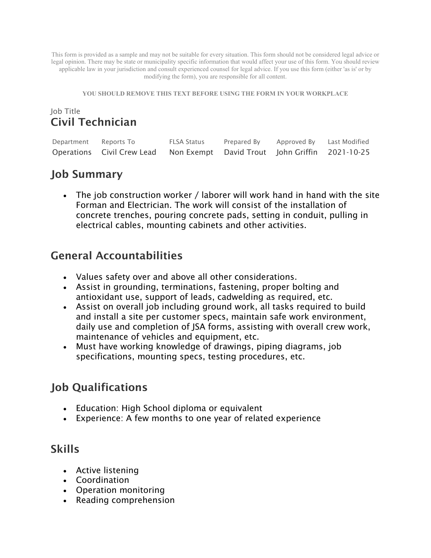This form is provided as a sample and may not be suitable for every situation. This form should not be considered legal advice or legal opinion. There may be state or municipality specific information that would affect your use of this form. You should review applicable law in your jurisdiction and consult experienced counsel for legal advice. If you use this form (either 'as is' or by modifying the form), you are responsible for all content.

**YOU SHOULD REMOVE THIS TEXT BEFORE USING THE FORM IN YOUR WORKPLACE** 

#### Job Title Civil Technician

| Department Reports To |                                                                           | FLSA Status | Prepared By | Approved By Last Modified |  |
|-----------------------|---------------------------------------------------------------------------|-------------|-------------|---------------------------|--|
|                       | Operations Civil Crew Lead Non Exempt David Trout John Griffin 2021-10-25 |             |             |                           |  |

## Job Summary

• The job construction worker / laborer will work hand in hand with the site Forman and Electrician. The work will consist of the installation of concrete trenches, pouring concrete pads, setting in conduit, pulling in electrical cables, mounting cabinets and other activities.

## General Accountabilities

- Values safety over and above all other considerations.
- Assist in grounding, terminations, fastening, proper bolting and antioxidant use, support of leads, cadwelding as required, etc.
- Assist on overall job including ground work, all tasks required to build and install a site per customer specs, maintain safe work environment, daily use and completion of JSA forms, assisting with overall crew work, maintenance of vehicles and equipment, etc.
- Must have working knowledge of drawings, piping diagrams, job specifications, mounting specs, testing procedures, etc.

## Job Qualifications

- Education: High School diploma or equivalent
- Experience: A few months to one year of related experience

## Skills

- Active listening
- Coordination
- Operation monitoring
- Reading comprehension